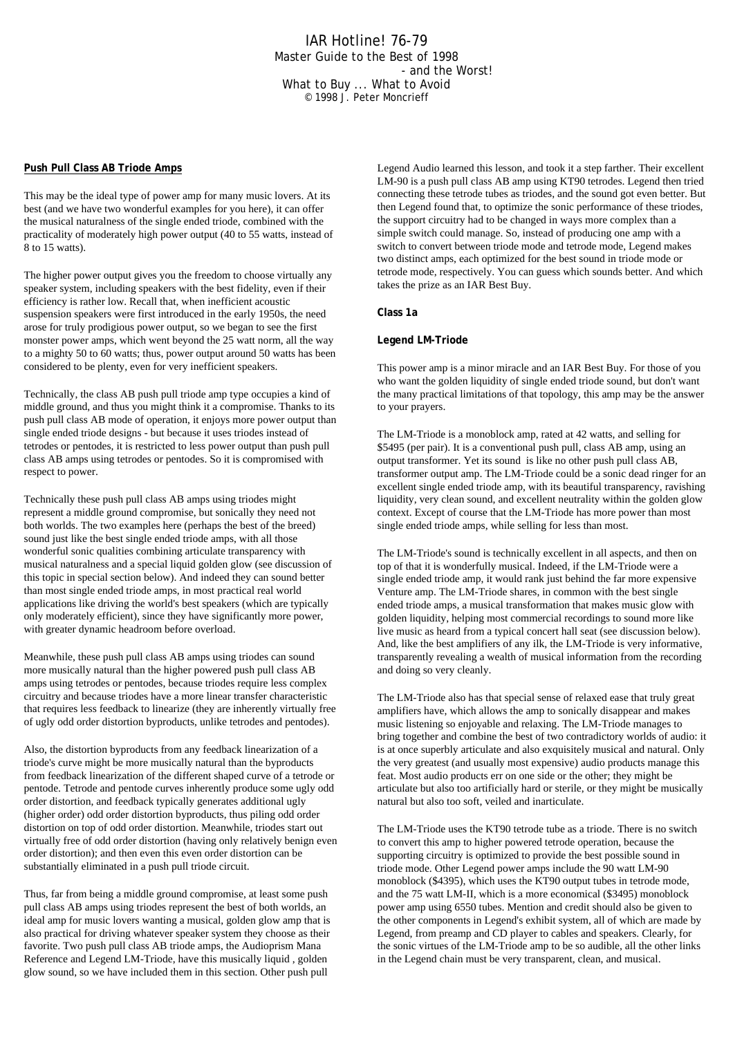## IAR Hotline! 76-79 Master Guide to the Best of 1998 - and the Worst! What to Buy ... What to Avoid © 1998 J. Peter Moncrieff

## **Push Pull Class AB Triode Amps**

This may be the ideal type of power amp for many music lovers. At its best (and we have two wonderful examples for you here), it can offer the musical naturalness of the single ended triode, combined with the practicality of moderately high power output (40 to 55 watts, instead of 8 to 15 watts).

The higher power output gives you the freedom to choose virtually any speaker system, including speakers with the best fidelity, even if their efficiency is rather low. Recall that, when inefficient acoustic suspension speakers were first introduced in the early 1950s, the need arose for truly prodigious power output, so we began to see the first monster power amps, which went beyond the 25 watt norm, all the way to a mighty 50 to 60 watts; thus, power output around 50 watts has been considered to be plenty, even for very inefficient speakers.

Technically, the class AB push pull triode amp type occupies a kind of middle ground, and thus you might think it a compromise. Thanks to its push pull class AB mode of operation, it enjoys more power output than single ended triode designs - but because it uses triodes instead of tetrodes or pentodes, it is restricted to less power output than push pull class AB amps using tetrodes or pentodes. So it is compromised with respect to power.

Technically these push pull class AB amps using triodes might represent a middle ground compromise, but sonically they need not both worlds. The two examples here (perhaps the best of the breed) sound just like the best single ended triode amps, with all those wonderful sonic qualities combining articulate transparency with musical naturalness and a special liquid golden glow (see discussion of this topic in special section below). And indeed they can sound better than most single ended triode amps, in most practical real world applications like driving the world's best speakers (which are typically only moderately efficient), since they have significantly more power, with greater dynamic headroom before overload.

Meanwhile, these push pull class AB amps using triodes can sound more musically natural than the higher powered push pull class AB amps using tetrodes or pentodes, because triodes require less complex circuitry and because triodes have a more linear transfer characteristic that requires less feedback to linearize (they are inherently virtually free of ugly odd order distortion byproducts, unlike tetrodes and pentodes).

Also, the distortion byproducts from any feedback linearization of a triode's curve might be more musically natural than the byproducts from feedback linearization of the different shaped curve of a tetrode or pentode. Tetrode and pentode curves inherently produce some ugly odd order distortion, and feedback typically generates additional ugly (higher order) odd order distortion byproducts, thus piling odd order distortion on top of odd order distortion. Meanwhile, triodes start out virtually free of odd order distortion (having only relatively benign even order distortion); and then even this even order distortion can be substantially eliminated in a push pull triode circuit.

Thus, far from being a middle ground compromise, at least some push pull class AB amps using triodes represent the best of both worlds, an ideal amp for music lovers wanting a musical, golden glow amp that is also practical for driving whatever speaker system they choose as their favorite. Two push pull class AB triode amps, the Audioprism Mana Reference and Legend LM-Triode, have this musically liquid , golden glow sound, so we have included them in this section. Other push pull

Legend Audio learned this lesson, and took it a step farther. Their excellent LM-90 is a push pull class AB amp using KT90 tetrodes. Legend then tried connecting these tetrode tubes as triodes, and the sound got even better. But then Legend found that, to optimize the sonic performance of these triodes, the support circuitry had to be changed in ways more complex than a simple switch could manage. So, instead of producing one amp with a switch to convert between triode mode and tetrode mode, Legend makes two distinct amps, each optimized for the best sound in triode mode or tetrode mode, respectively. You can guess which sounds better. And which takes the prize as an IAR Best Buy.

**Class 1a**

## **Legend LM-Triode**

This power amp is a minor miracle and an IAR Best Buy. For those of you who want the golden liquidity of single ended triode sound, but don't want the many practical limitations of that topology, this amp may be the answer to your prayers.

The LM-Triode is a monoblock amp, rated at 42 watts, and selling for \$5495 (per pair). It is a conventional push pull, class AB amp, using an output transformer. Yet its sound is like no other push pull class AB, transformer output amp. The LM-Triode could be a sonic dead ringer for an excellent single ended triode amp, with its beautiful transparency, ravishing liquidity, very clean sound, and excellent neutrality within the golden glow context. Except of course that the LM-Triode has more power than most single ended triode amps, while selling for less than most.

The LM-Triode's sound is technically excellent in all aspects, and then on top of that it is wonderfully musical. Indeed, if the LM-Triode were a single ended triode amp, it would rank just behind the far more expensive Venture amp. The LM-Triode shares, in common with the best single ended triode amps, a musical transformation that makes music glow with golden liquidity, helping most commercial recordings to sound more like live music as heard from a typical concert hall seat (see discussion below). And, like the best amplifiers of any ilk, the LM-Triode is very informative, transparently revealing a wealth of musical information from the recording and doing so very cleanly.

The LM-Triode also has that special sense of relaxed ease that truly great amplifiers have, which allows the amp to sonically disappear and makes music listening so enjoyable and relaxing. The LM-Triode manages to bring together and combine the best of two contradictory worlds of audio: it is at once superbly articulate and also exquisitely musical and natural. Only the very greatest (and usually most expensive) audio products manage this feat. Most audio products err on one side or the other; they might be articulate but also too artificially hard or sterile, or they might be musically natural but also too soft, veiled and inarticulate.

The LM-Triode uses the KT90 tetrode tube as a triode. There is no switch to convert this amp to higher powered tetrode operation, because the supporting circuitry is optimized to provide the best possible sound in triode mode. Other Legend power amps include the 90 watt LM-90 monoblock (\$4395), which uses the KT90 output tubes in tetrode mode, and the 75 watt LM-II, which is a more economical (\$3495) monoblock power amp using 6550 tubes. Mention and credit should also be given to the other components in Legend's exhibit system, all of which are made by Legend, from preamp and CD player to cables and speakers. Clearly, for the sonic virtues of the LM-Triode amp to be so audible, all the other links in the Legend chain must be very transparent, clean, and musical.